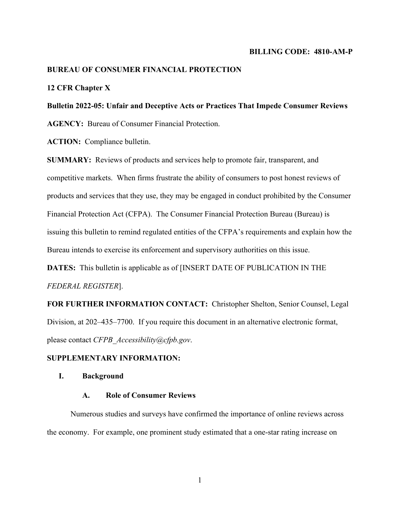#### **BILLING CODE: 4810-AM-P**

## **BUREAU OF CONSUMER FINANCIAL PROTECTION**

#### **12 CFR Chapter X**

# **Bulletin 2022-05: Unfair and Deceptive Acts or Practices That Impede Consumer Reviews**

**AGENCY:** Bureau of Consumer Financial Protection.

**ACTION:** Compliance bulletin.

**SUMMARY:** Reviews of products and services help to promote fair, transparent, and competitive markets. When firms frustrate the ability of consumers to post honest reviews of products and services that they use, they may be engaged in conduct prohibited by the Consumer Financial Protection Act (CFPA). The Consumer Financial Protection Bureau (Bureau) is issuing this bulletin to remind regulated entities of the CFPA's requirements and explain how the Bureau intends to exercise its enforcement and supervisory authorities on this issue.

**DATES:** This bulletin is applicable as of [INSERT DATE OF PUBLICATION IN THE *FEDERAL REGISTER*].

**FOR FURTHER INFORMATION CONTACT:** Christopher Shelton, Senior Counsel, Legal Division, at 202–435–7700. If you require this document in an alternative electronic format, please contact *CFPB\_Accessibility@cfpb.gov*.

#### **SUPPLEMENTARY INFORMATION:**

## **I. Background**

## **A. Role of Consumer Reviews**

Numerous studies and surveys have confirmed the importance of online reviews across the economy. For example, one prominent study estimated that a one-star rating increase on

1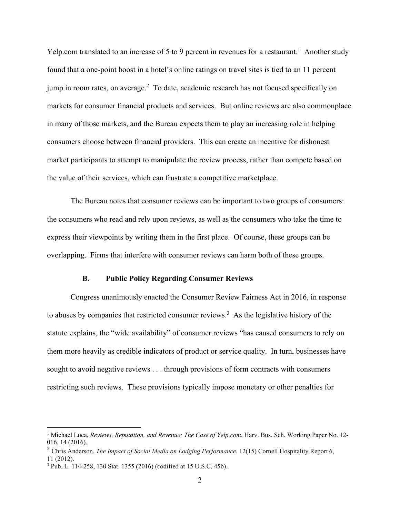Yelp.com translated to an increase of 5 to 9 percent in revenues for a restaurant.<sup>1</sup> Another study found that a one-point boost in a hotel's online ratings on travel sites is tied to an 11 percent jump in room rates, on average. $2$  To date, academic research has not focused specifically on markets for consumer financial products and services. But online reviews are also commonplace in many of those markets, and the Bureau expects them to play an increasing role in helping consumers choose between financial providers. This can create an incentive for dishonest market participants to attempt to manipulate the review process, rather than compete based on the value of their services, which can frustrate a competitive marketplace.

The Bureau notes that consumer reviews can be important to two groups of consumers: the consumers who read and rely upon reviews, as well as the consumers who take the time to express their viewpoints by writing them in the first place. Of course, these groups can be overlapping. Firms that interfere with consumer reviews can harm both of these groups.

#### **B. Public Policy Regarding Consumer Reviews**

Congress unanimously enacted the Consumer Review Fairness Act in 2016, in response to abuses by companies that restricted consumer reviews.<sup>3</sup> As the legislative history of the statute explains, the "wide availability" of consumer reviews "has caused consumers to rely on them more heavily as credible indicators of product or service quality. In turn, businesses have sought to avoid negative reviews . . . through provisions of form contracts with consumers restricting such reviews. These provisions typically impose monetary or other penalties for

<sup>&</sup>lt;sup>1</sup> Michael Luca, *Reviews, Reputation, and Revenue: The Case of Yelp.com*, Harv. Bus. Sch. Working Paper No. 12-016, 14 (2016).

<sup>2</sup> Chris Anderson, *The Impact of Social Media on Lodging Performance*, 12(15) Cornell Hospitality Report 6, 11 (2012).

<sup>3</sup> Pub. L. 114-258, 130 Stat. 1355 (2016) (codified at 15 U.S.C. 45b).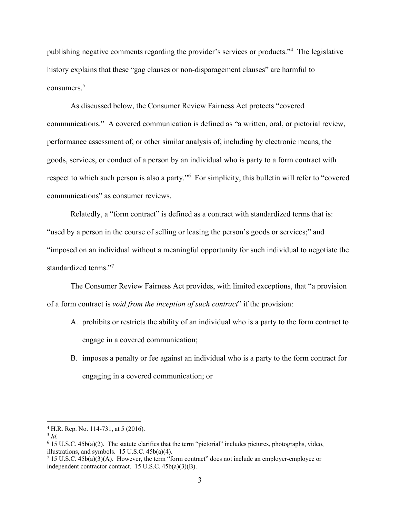publishing negative comments regarding the provider's services or products."4 The legislative history explains that these "gag clauses or non-disparagement clauses" are harmful to consumers.<sup>5</sup>

As discussed below, the Consumer Review Fairness Act protects "covered communications." A covered communication is defined as "a written, oral, or pictorial review, performance assessment of, or other similar analysis of, including by electronic means, the goods, services, or conduct of a person by an individual who is party to a form contract with respect to which such person is also a party."<sup>6</sup> For simplicity, this bulletin will refer to "covered communications" as consumer reviews.

Relatedly, a "form contract" is defined as a contract with standardized terms that is: "used by a person in the course of selling or leasing the person's goods or services;" and "imposed on an individual without a meaningful opportunity for such individual to negotiate the standardized terms."7

The Consumer Review Fairness Act provides, with limited exceptions, that "a provision of a form contract is *void from the inception of such contract*" if the provision:

- A. prohibits or restricts the ability of an individual who is a party to the form contract to engage in a covered communication;
- B. imposes a penalty or fee against an individual who is a party to the form contract for engaging in a covered communication; or

<sup>4</sup> H.R. Rep. No. 114-731, at 5 (2016).

<sup>5</sup> *Id.*

<sup>6</sup> 15 U.S.C. 45b(a)(2). The statute clarifies that the term "pictorial" includes pictures, photographs, video, illustrations, and symbols.  $15$  U.S.C.  $45b(a)(4)$ .

 $15$  U.S.C.  $45b(a)(3)(A)$ . However, the term "form contract" does not include an employer-employee or independent contractor contract. 15 U.S.C. 45b(a)(3)(B).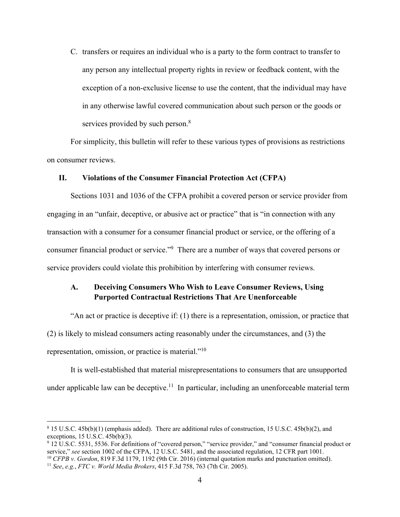C. transfers or requires an individual who is a party to the form contract to transfer to any person any intellectual property rights in review or feedback content, with the exception of a non-exclusive license to use the content, that the individual may have in any otherwise lawful covered communication about such person or the goods or services provided by such person.<sup>8</sup>

For simplicity, this bulletin will refer to these various types of provisions as restrictions on consumer reviews.

#### **II. Violations of the Consumer Financial Protection Act (CFPA)**

Sections 1031 and 1036 of the CFPA prohibit a covered person or service provider from engaging in an "unfair, deceptive, or abusive act or practice" that is "in connection with any transaction with a consumer for a consumer financial product or service, or the offering of a consumer financial product or service."<sup>9</sup> There are a number of ways that covered persons or service providers could violate this prohibition by interfering with consumer reviews.

# **A. Deceiving Consumers Who Wish to Leave Consumer Reviews, Using Purported Contractual Restrictions That Are Unenforceable**

"An act or practice is deceptive if: (1) there is a representation, omission, or practice that (2) is likely to mislead consumers acting reasonably under the circumstances, and (3) the representation, omission, or practice is material."10

It is well-established that material misrepresentations to consumers that are unsupported under applicable law can be deceptive.<sup>11</sup> In particular, including an unenforceable material term

<sup>8</sup> 15 U.S.C. 45b(b)(1) (emphasis added). There are additional rules of construction, 15 U.S.C. 45b(b)(2), and exceptions,  $15$  U.S.C.  $45b(b)(3)$ .

 $9$  12 U.S.C. 5531, 5536. For definitions of "covered person," "service provider," and "consumer financial product or service," see section 1002 of the CFPA, 12 U.S.C. 5481, and the associated regulation, 12 CFR part 1001

<sup>&</sup>lt;sup>10</sup> CFPB v. Gordon, 819 F.3d 1179, 1192 (9th Cir. 2016) (internal quotation marks and punctuation omitted).<br><sup>11</sup> See, e.g., FTC v. World Media Brokers, 415 F.3d 758, 763 (7th Cir. 2005).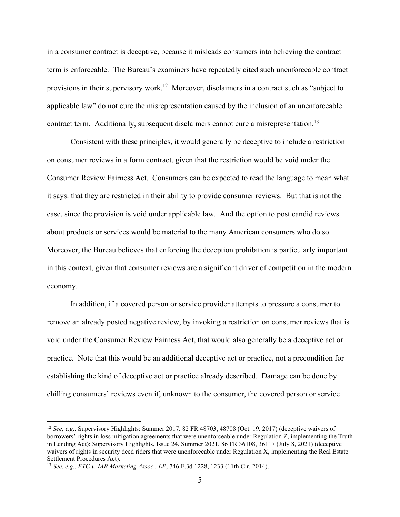in a consumer contract is deceptive, because it misleads consumers into believing the contract term is enforceable. The Bureau's examiners have repeatedly cited such unenforceable contract provisions in their supervisory work.<sup>12</sup> Moreover, disclaimers in a contract such as "subject to applicable law" do not cure the misrepresentation caused by the inclusion of an unenforceable contract term. Additionally, subsequent disclaimers cannot cure a misrepresentation.<sup>13</sup>

Consistent with these principles, it would generally be deceptive to include a restriction on consumer reviews in a form contract, given that the restriction would be void under the Consumer Review Fairness Act. Consumers can be expected to read the language to mean what it says: that they are restricted in their ability to provide consumer reviews. But that is not the case, since the provision is void under applicable law. And the option to post candid reviews about products or services would be material to the many American consumers who do so. Moreover, the Bureau believes that enforcing the deception prohibition is particularly important in this context, given that consumer reviews are a significant driver of competition in the modern economy.

In addition, if a covered person or service provider attempts to pressure a consumer to remove an already posted negative review, by invoking a restriction on consumer reviews that is void under the Consumer Review Fairness Act, that would also generally be a deceptive act or practice. Note that this would be an additional deceptive act or practice, not a precondition for establishing the kind of deceptive act or practice already described. Damage can be done by chilling consumers' reviews even if, unknown to the consumer, the covered person or service

<sup>12</sup> *See, e.g.*, Supervisory Highlights: Summer 2017, 82 FR 48703, 48708 (Oct. 19, 2017) (deceptive waivers of borrowers' rights in loss mitigation agreements that were unenforceable under Regulation Z, implementing the Truth in Lending Act); Supervisory Highlights, Issue 24, Summer 2021, 86 FR 36108, 36117 (July 8, 2021) (deceptive waivers of rights in security deed riders that were unenforceable under Regulation X, implementing the Real Estate Settlement Procedures Act).

<sup>13</sup> *See*, *e.g.*, *FTC v. IAB Marketing Assoc., LP*, 746 F.3d 1228, 1233 (11th Cir. 2014).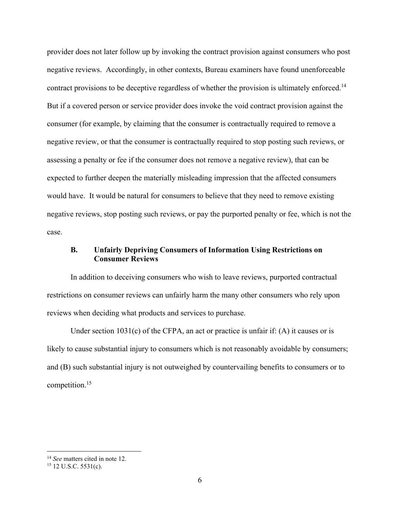provider does not later follow up by invoking the contract provision against consumers who post negative reviews. Accordingly, in other contexts, Bureau examiners have found unenforceable contract provisions to be deceptive regardless of whether the provision is ultimately enforced.<sup>14</sup> But if a covered person or service provider does invoke the void contract provision against the consumer (for example, by claiming that the consumer is contractually required to remove a negative review, or that the consumer is contractually required to stop posting such reviews, or assessing a penalty or fee if the consumer does not remove a negative review), that can be expected to further deepen the materially misleading impression that the affected consumers would have. It would be natural for consumers to believe that they need to remove existing negative reviews, stop posting such reviews, or pay the purported penalty or fee, which is not the case.

# **B. Unfairly Depriving Consumers of Information Using Restrictions on Consumer Reviews**

In addition to deceiving consumers who wish to leave reviews, purported contractual restrictions on consumer reviews can unfairly harm the many other consumers who rely upon reviews when deciding what products and services to purchase.

Under section  $1031(c)$  of the CFPA, an act or practice is unfair if: (A) it causes or is likely to cause substantial injury to consumers which is not reasonably avoidable by consumers; and (B) such substantial injury is not outweighed by countervailing benefits to consumers or to competition.15

<sup>&</sup>lt;sup>14</sup> *See* matters cited in note 12.<br><sup>15</sup> 12 U.S.C. 5531(c).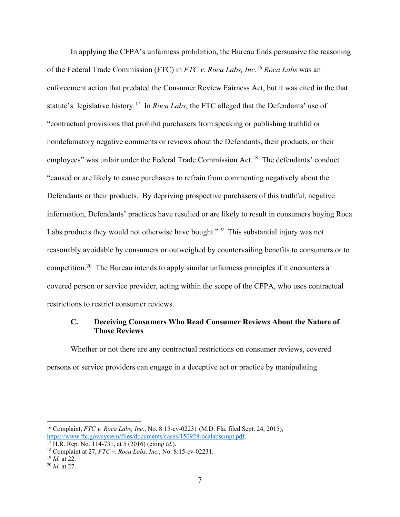In applying the CFPA's unfairness prohibition, the Bureau finds persuasive the reasoning of the Federal Trade Commission (FTC) in *FTC v. Roca Labs, Inc*. <sup>16</sup> *Roca Labs* was an enforcement action that predated the Consumer Review Fairness Act, but it was cited in the that statute's legislative history.17 In *Roca Labs*, the FTC alleged that the Defendants' use of "contractual provisions that prohibit purchasers from speaking or publishing truthful or nondefamatory negative comments or reviews about the Defendants, their products, or their employees" was unfair under the Federal Trade Commission Act.<sup>18</sup> The defendants' conduct "caused or are likely to cause purchasers to refrain from commenting negatively about the Defendants or their products. By depriving prospective purchasers of this truthful, negative information, Defendants' practices have resulted or are likely to result in consumers buying Roca Labs products they would not otherwise have bought."<sup>19</sup> This substantial injury was not reasonably avoidable by consumers or outweighed by countervailing benefits to consumers or to competition.20 The Bureau intends to apply similar unfairness principles if it encounters a covered person or service provider, acting within the scope of the CFPA, who uses contractual restrictions to restrict consumer reviews.

## **C. Deceiving Consumers Who Read Consumer Reviews About the Nature of Those Reviews**

Whether or not there are any contractual restrictions on consumer reviews, covered persons or service providers can engage in a deceptive act or practice by manipulating

<sup>&</sup>lt;sup>16</sup> Complaint, *FTC v. Roca Labs, Inc.*, No. 8:15-cv-02231 (M.D. Fla. filed Sept. 24, 2015), https://www.ftc.gov/svstem/files/documents/cases/150928rocalabscmpt.pdf.

<sup>&</sup>lt;sup>17</sup> H.R. Rep. No. 114-731, at 5 (2016) (citing *id.*).<br><sup>18</sup> Complaint at 27, *FTC v. Roca Labs, Inc.*, No. 8:15-cv-02231.<br><sup>19</sup> *Id.* at 22.<br><sup>20</sup> *Id.* at 27.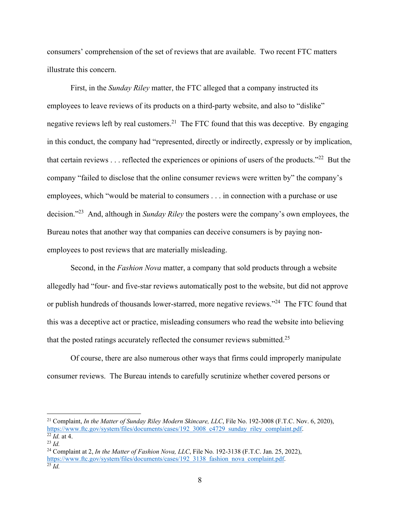consumers' comprehension of the set of reviews that are available. Two recent FTC matters illustrate this concern.

First, in the *Sunday Riley* matter, the FTC alleged that a company instructed its employees to leave reviews of its products on a third-party website, and also to "dislike" negative reviews left by real customers.<sup>21</sup> The FTC found that this was deceptive. By engaging in this conduct, the company had "represented, directly or indirectly, expressly or by implication, that certain reviews  $\dots$  reflected the experiences or opinions of users of the products."<sup>22</sup> But the company "failed to disclose that the online consumer reviews were written by" the company's employees, which "would be material to consumers . . . in connection with a purchase or use decision."23 And, although in *Sunday Riley* the posters were the company's own employees, the Bureau notes that another way that companies can deceive consumers is by paying nonemployees to post reviews that are materially misleading.

Second, in the *Fashion Nova* matter, a company that sold products through a website allegedly had "four- and five-star reviews automatically post to the website, but did not approve or publish hundreds of thousands lower-starred, more negative reviews."<sup>24</sup> The FTC found that this was a deceptive act or practice, misleading consumers who read the website into believing that the posted ratings accurately reflected the consumer reviews submitted.<sup>25</sup>

Of course, there are also numerous other ways that firms could improperly manipulate consumer reviews. The Bureau intends to carefully scrutinize whether covered persons or

<sup>21</sup> Complaint, *In the Matter of Sunday Riley Modern Skincare, LLC*, File No. 192-3008 (F.T.C. Nov. 6, 2020), https://www.ftc.gov/system/files/documents/cases/192\_3008\_c4729\_sunday\_riley\_complaint.pdf.<br><sup>22</sup> *Id.* at 4.<br><sup>23</sup> *Id.* 24 Complaint at 2, *In the Matter of Fashion Nova, LLC*, File No. 192-3138 (F.T.C. Jan. 25, 2022),

<sup>&</sup>lt;sup>24</sup> Complaint at 2, *In the Matter of Fashion Nova, LLC*, File No. 192-3138 (F.T.C. Jan. 25, 2022), https://www.ftc.gov/system/files/documents/cases/192\_3138\_fashion\_nova\_complaint.pdf. 25 *Id.*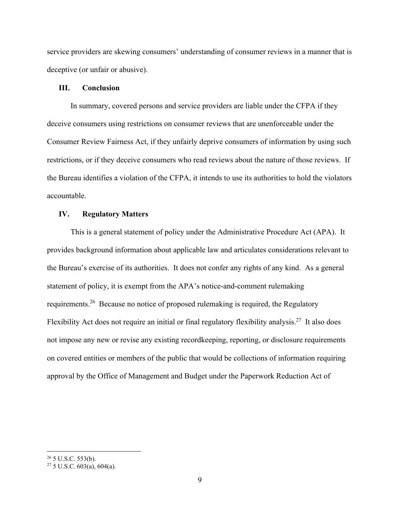service providers are skewing consumers' understanding of consumer reviews in a manner that is deceptive (or unfair or abusive).

#### **III. Conclusion**

In summary, covered persons and service providers are liable under the CFPA if they deceive consumers using restrictions on consumer reviews that are unenforceable under the Consumer Review Fairness Act, if they unfairly deprive consumers of information by using such restrictions, or if they deceive consumers who read reviews about the nature of those reviews. If the Bureau identifies a violation of the CFPA, it intends to use its authorities to hold the violators accountable.

#### **IV. Regulatory Matters**

This is a general statement of policy under the Administrative Procedure Act (APA). It provides background information about applicable law and articulates considerations relevant to the Bureau's exercise of its authorities. It does not confer any rights of any kind. As a general statement of policy, it is exempt from the APA's notice-and-comment rulemaking requirements.26 Because no notice of proposed rulemaking is required, the Regulatory Flexibility Act does not require an initial or final regulatory flexibility analysis.<sup>27</sup> It also does not impose any new or revise any existing recordkeeping, reporting, or disclosure requirements on covered entities or members of the public that would be collections of information requiring approval by the Office of Management and Budget under the Paperwork Reduction Act of

 $26$  5 U.S.C. 553(b).

 $27\,5$  U.S.C. 603(a), 604(a).